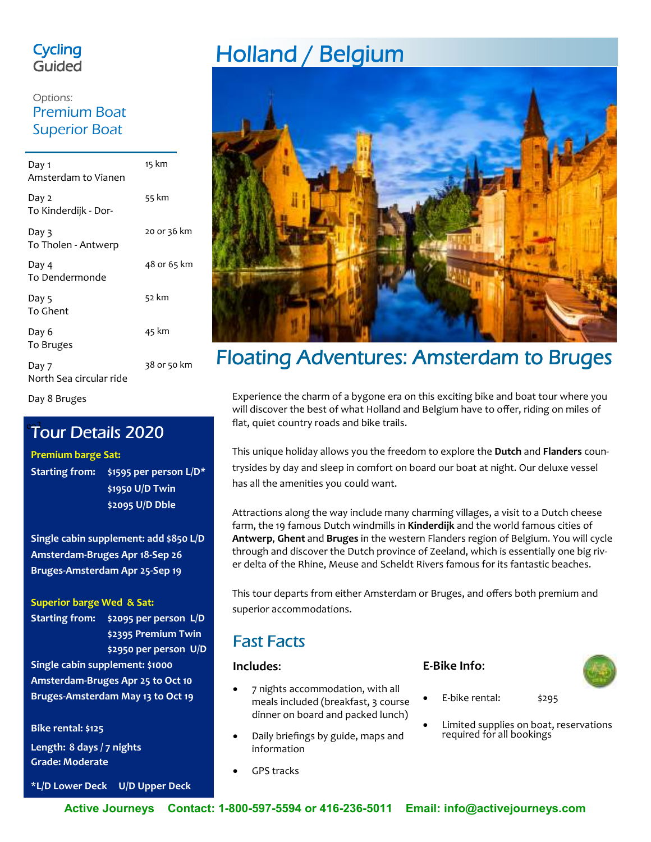## **Cycling** Guided

## Options: Premium Boat Superior Boat

| Day 1<br>Amsterdam to Vianen     | 15 km       |
|----------------------------------|-------------|
| Day 2<br>To Kinderdijk - Dor-    | 55 km       |
| Day 3<br>To Tholen - Antwerp     | 20 or 36 km |
| Day 4<br>To Dendermonde          | 48 or 65 km |
| Day 5<br>To Ghent                | 52 km       |
| Day 6<br>To Bruges               | 45 km       |
| Day 7<br>North Sea circular ride | 38 or 50 km |

Day 8 Bruges

## Tour Details 2020

#### **Premium barge Sat:**

**Starting from: \$1595 per person L/D\* \$1950 U/D Twin \$2095 U/D Dble** 

**Single cabin supplement: add \$850 L/D Amsterdam-Bruges Apr 18-Sep 26 Bruges-Amsterdam Apr 25-Sep 19** 

**Superior barge Wed & Sat:** 

**Starting from: \$2095 per person L/D \$2395 Premium Twin \$2950 per person U/D**

**Single cabin supplement: \$1000 Amsterdam-Bruges Apr 25 to Oct 10 Bruges-Amsterdam May 13 to Oct 19** 

**Bike rental: \$125** 

**Length: 8 days / 7 nights Grade: Moderate** 

**\*L/D Lower Deck U/D Upper Deck** 

# Holland / Belgium



## Floating Adventures: Amsterdam to Bruges

Experience the charm of a bygone era on this exciting bike and boat tour where you will discover the best of what Holland and Belgium have to offer, riding on miles of flat, quiet country roads and bike trails.

This unique holiday allows you the freedom to explore the **Dutch** and **Flanders** countrysides by day and sleep in comfort on board our boat at night. Our deluxe vessel has all the amenities you could want.

Attractions along the way include many charming villages, a visit to a Dutch cheese farm, the 19 famous Dutch windmills in **Kinderdijk** and the world famous cities of **Antwerp**, **Ghent** and **Bruges** in the western Flanders region of Belgium. You will cycle through and discover the Dutch province of Zeeland, which is essentially one big river delta of the Rhine, Meuse and Scheldt Rivers famous for its fantastic beaches.

This tour departs from either Amsterdam or Bruges, and offers both premium and superior accommodations.

## **Fast Facts**

### **Includes**:

- 7 nights accommodation, with all meals included (breakfast, 3 course dinner on board and packed lunch)
- Daily briefings by guide, maps and information
- GPS tracks

### **E-Bike Info**:



- E-bike rental: \$295
- Limited supplies on boat, reservations required for all bookings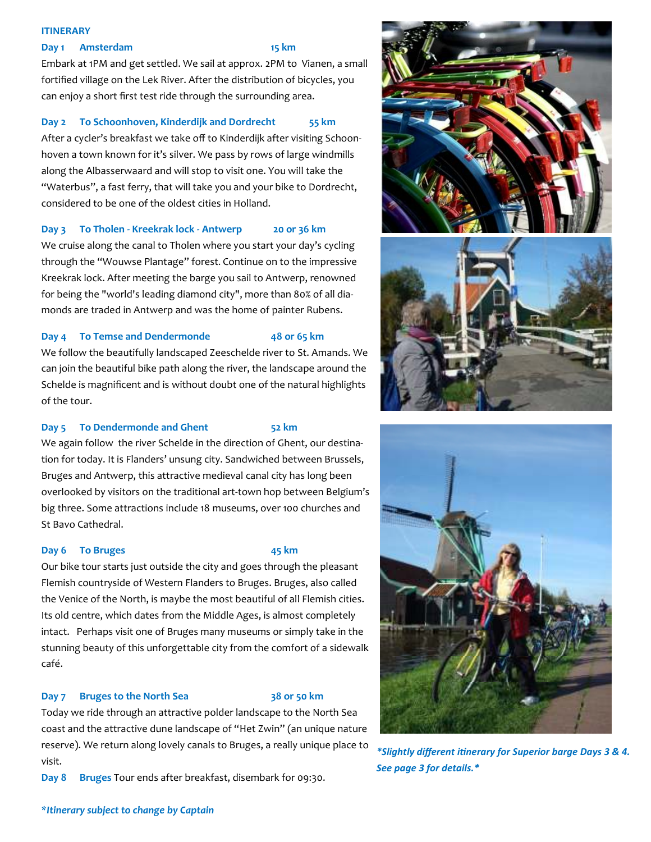#### **ITINERARY**

#### **Day 1 Amsterdam** 15 km

Embark at 1PM and get settled. We sail at approx. 2PM to Vianen, a small fortified village on the Lek River. After the distribution of bicycles, you can enjoy a short first test ride through the surrounding area.

### **Day 2 To Schoonhoven, Kinderdijk and Dordrecht 55 km**

After a cycler's breakfast we take off to Kinderdijk after visiting Schoonhoven a town known for it's silver. We pass by rows of large windmills along the Albasserwaard and will stop to visit one. You will take the "Waterbus", a fast ferry, that will take you and your bike to Dordrecht, considered to be one of the oldest cities in Holland.

#### **Day 3 To Tholen - Kreekrak lock - Antwerp 20 or 36 km**

We cruise along the canal to Tholen where you start your day's cycling through the "Wouwse Plantage" forest. Continue on to the impressive Kreekrak lock. After meeting the barge you sail to Antwerp, renowned for being the "world's leading diamond city", more than 80% of all diamonds are traded in Antwerp and was the home of painter Rubens.

### **Day 4 To Temse and Dendermonde 48 or 65 km**

We follow the beautifully landscaped Zeeschelde river to St. Amands. We can join the beautiful bike path along the river, the landscape around the Schelde is magnificent and is without doubt one of the natural highlights of the tour.

### **Day 5 To Dendermonde and Ghent** 52 km

We again follow the river Schelde in the direction of Ghent, our destination for today. It is Flanders' unsung city. Sandwiched between Brussels, Bruges and Antwerp, this attractive medieval canal city has long been overlooked by visitors on the traditional art-town hop between Belgium's big three. Some attractions include 18 museums, over 100 churches and St Bavo Cathedral.

#### **Day 6 To Bruges 45 km**

Our bike tour starts just outside the city and goes through the pleasant Flemish countryside of Western Flanders to Bruges. Bruges, also called the Venice of the North, is maybe the most beautiful of all Flemish cities. Its old centre, which dates from the Middle Ages, is almost completely intact. Perhaps visit one of Bruges many museums or simply take in the stunning beauty of this unforgettable city from the comfort of a sidewalk café.

#### Day 7 Bruges to the North Sea 38 or 50 km

Today we ride through an attractive polder landscape to the North Sea coast and the attractive dune landscape of "Het Zwin" (an unique nature reserve). We return along lovely canals to Bruges, a really unique place to visit.

**Day 8 Bruges** Tour ends after breakfast, disembark for 09:30.







*\*Slightly different inerary for Superior barge Days 3 & 4. See page 3 for details.\**